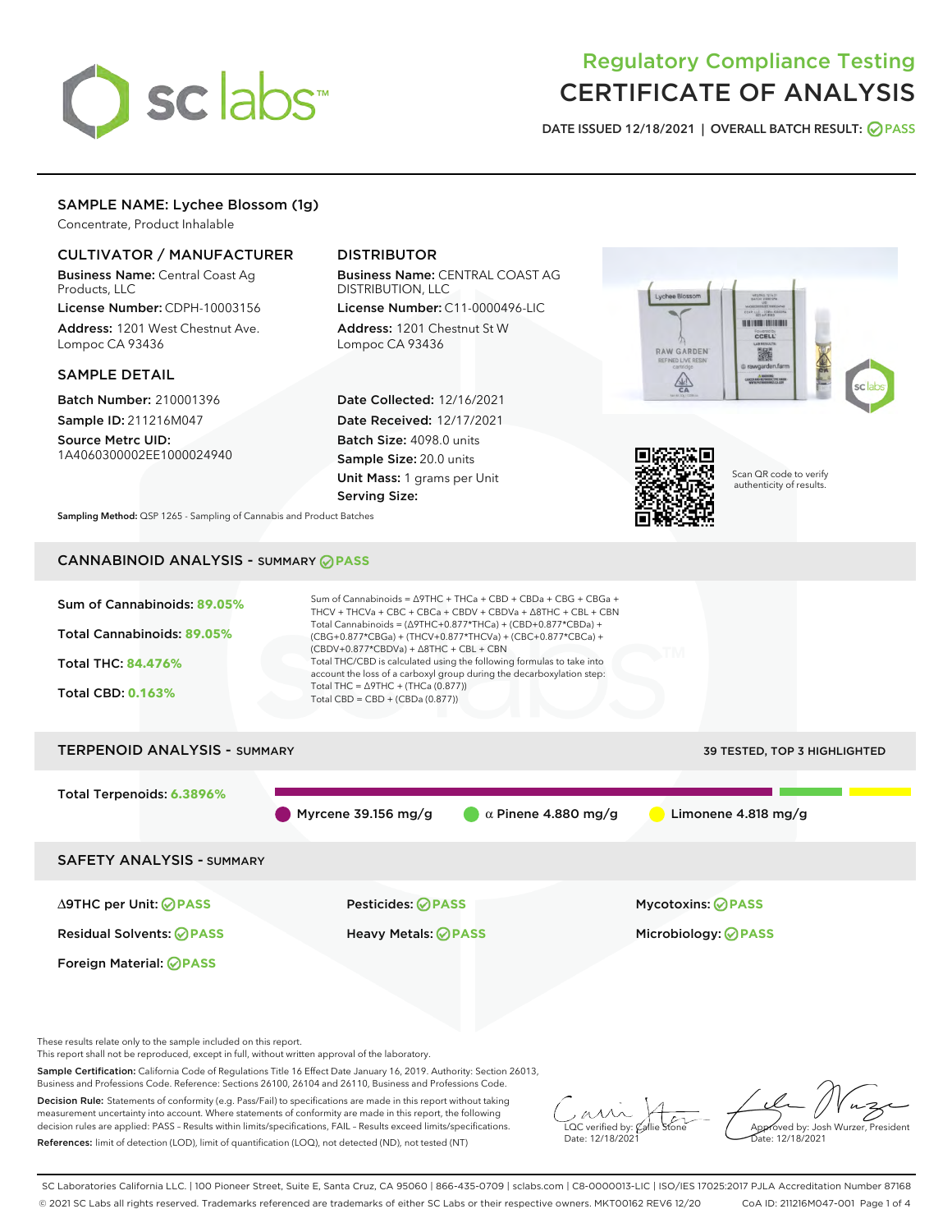

# Regulatory Compliance Testing CERTIFICATE OF ANALYSIS

DATE ISSUED 12/18/2021 | OVERALL BATCH RESULT: @ PASS

### SAMPLE NAME: Lychee Blossom (1g)

Concentrate, Product Inhalable

#### CULTIVATOR / MANUFACTURER

Business Name: Central Coast Ag Products, LLC

License Number: CDPH-10003156 Address: 1201 West Chestnut Ave. Lompoc CA 93436

#### SAMPLE DETAIL

Batch Number: 210001396 Sample ID: 211216M047

Source Metrc UID: 1A4060300002EE1000024940

## DISTRIBUTOR

Business Name: CENTRAL COAST AG DISTRIBUTION, LLC License Number: C11-0000496-LIC

Address: 1201 Chestnut St W Lompoc CA 93436

Date Collected: 12/16/2021 Date Received: 12/17/2021 Batch Size: 4098.0 units Sample Size: 20.0 units Unit Mass: 1 grams per Unit Serving Size:





Scan QR code to verify authenticity of results.

Sampling Method: QSP 1265 - Sampling of Cannabis and Product Batches

## CANNABINOID ANALYSIS - SUMMARY **PASS**

| Sum of Cannabinoids: 89.05%<br>Total Cannabinoids: 89.05%<br><b>Total THC: 84.476%</b><br><b>Total CBD: 0.163%</b> | Sum of Cannabinoids = $\triangle$ 9THC + THCa + CBD + CBDa + CBG + CBGa +<br>THCV + THCVa + CBC + CBCa + CBDV + CBDVa + $\triangle$ 8THC + CBL + CBN<br>Total Cannabinoids = $(\Delta 9THC + 0.877*THCa) + (CBD + 0.877*CBDa) +$<br>(CBG+0.877*CBGa) + (THCV+0.877*THCVa) + (CBC+0.877*CBCa) +<br>$(CBDV+0.877*CBDVa) + \Delta 8THC + CBL + CBN$<br>Total THC/CBD is calculated using the following formulas to take into<br>account the loss of a carboxyl group during the decarboxylation step:<br>Total THC = $\triangle$ 9THC + (THCa (0.877))<br>Total $CBD = CBD + (CBDa (0.877))$ |                              |
|--------------------------------------------------------------------------------------------------------------------|-------------------------------------------------------------------------------------------------------------------------------------------------------------------------------------------------------------------------------------------------------------------------------------------------------------------------------------------------------------------------------------------------------------------------------------------------------------------------------------------------------------------------------------------------------------------------------------------|------------------------------|
| <b>TERPENOID ANALYSIS - SUMMARY</b>                                                                                |                                                                                                                                                                                                                                                                                                                                                                                                                                                                                                                                                                                           | 39 TESTED, TOP 3 HIGHLIGHTED |
| Total Terpenoids: 6.3896%                                                                                          | Myrcene 39.156 mg/g<br>$\alpha$ Pinene 4.880 mg/g                                                                                                                                                                                                                                                                                                                                                                                                                                                                                                                                         | Limonene $4.818$ mg/g        |
| <b>SAFETY ANALYSIS - SUMMARY</b>                                                                                   |                                                                                                                                                                                                                                                                                                                                                                                                                                                                                                                                                                                           |                              |
| ∆9THC per Unit: ⊘PASS                                                                                              | <b>Pesticides: ⊘ PASS</b>                                                                                                                                                                                                                                                                                                                                                                                                                                                                                                                                                                 | <b>Mycotoxins: ⊘PASS</b>     |
| <b>Residual Solvents: ⊘PASS</b>                                                                                    | <b>Heavy Metals: ⊘ PASS</b>                                                                                                                                                                                                                                                                                                                                                                                                                                                                                                                                                               | Microbiology: <b>PASS</b>    |
| Foreign Material: <b>⊘ PASS</b>                                                                                    |                                                                                                                                                                                                                                                                                                                                                                                                                                                                                                                                                                                           |                              |
| These results relate only to the sample included on this report.                                                   |                                                                                                                                                                                                                                                                                                                                                                                                                                                                                                                                                                                           |                              |

This report shall not be reproduced, except in full, without written approval of the laboratory.

Sample Certification: California Code of Regulations Title 16 Effect Date January 16, 2019. Authority: Section 26013, Business and Professions Code. Reference: Sections 26100, 26104 and 26110, Business and Professions Code.

Decision Rule: Statements of conformity (e.g. Pass/Fail) to specifications are made in this report without taking measurement uncertainty into account. Where statements of conformity are made in this report, the following decision rules are applied: PASS – Results within limits/specifications, FAIL – Results exceed limits/specifications. References: limit of detection (LOD), limit of quantification (LOQ), not detected (ND), not tested (NT)

 $\sim$  CC verified by:  $\mathcal{C}_i$ Date: 12/18/2021

Approved by: Josh Wurzer, President Date: 12/18/2021

SC Laboratories California LLC. | 100 Pioneer Street, Suite E, Santa Cruz, CA 95060 | 866-435-0709 | sclabs.com | C8-0000013-LIC | ISO/IES 17025:2017 PJLA Accreditation Number 87168 © 2021 SC Labs all rights reserved. Trademarks referenced are trademarks of either SC Labs or their respective owners. MKT00162 REV6 12/20 CoA ID: 211216M047-001 Page 1 of 4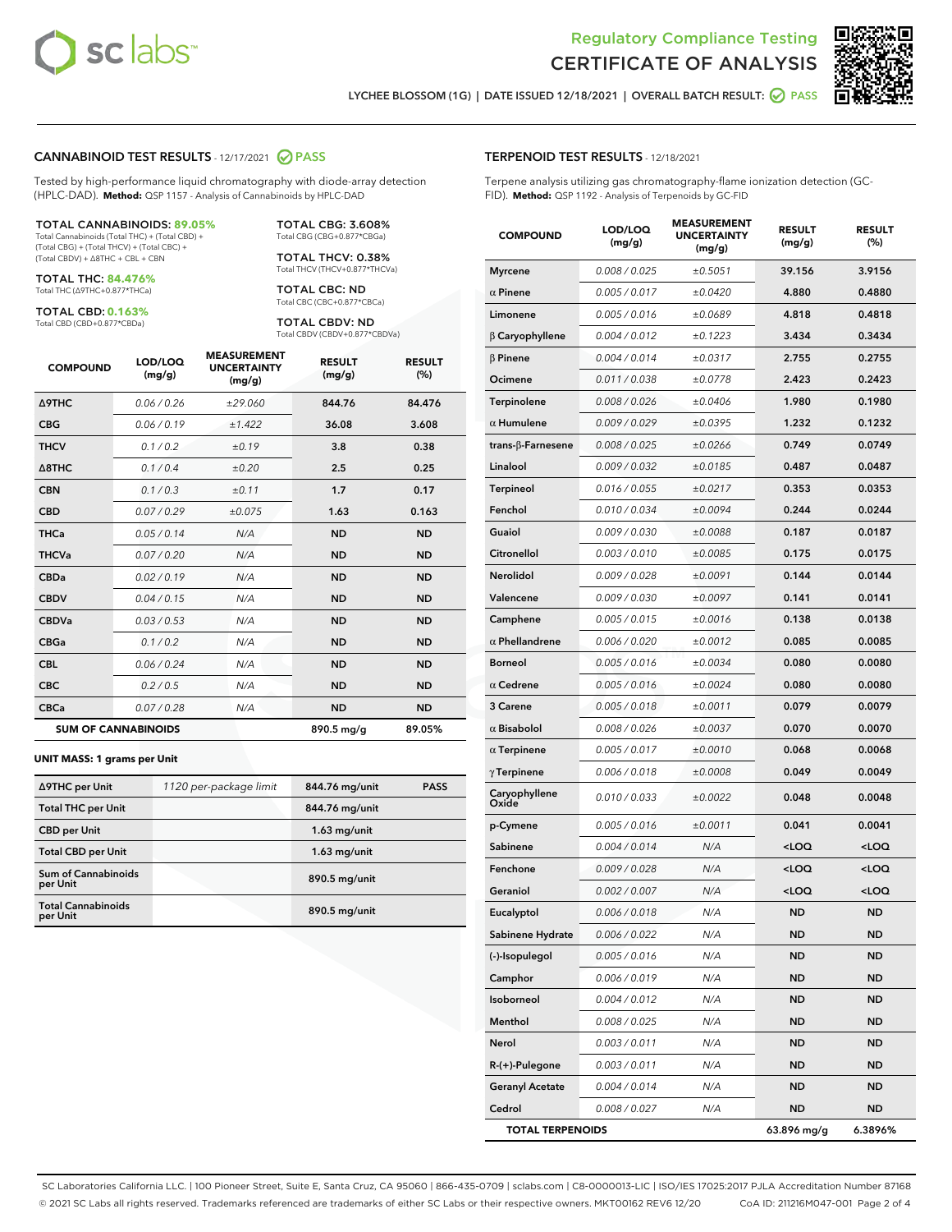



LYCHEE BLOSSOM (1G) | DATE ISSUED 12/18/2021 | OVERALL BATCH RESULT: **● PASS** 

#### CANNABINOID TEST RESULTS - 12/17/2021 2 PASS

Tested by high-performance liquid chromatography with diode-array detection (HPLC-DAD). **Method:** QSP 1157 - Analysis of Cannabinoids by HPLC-DAD

#### TOTAL CANNABINOIDS: **89.05%**

Total Cannabinoids (Total THC) + (Total CBD) + (Total CBG) + (Total THCV) + (Total CBC) + (Total CBDV) + ∆8THC + CBL + CBN

TOTAL THC: **84.476%** Total THC (∆9THC+0.877\*THCa)

TOTAL CBD: **0.163%**

Total CBD (CBD+0.877\*CBDa)

TOTAL CBG: 3.608% Total CBG (CBG+0.877\*CBGa)

TOTAL THCV: 0.38% Total THCV (THCV+0.877\*THCVa)

TOTAL CBC: ND Total CBC (CBC+0.877\*CBCa)

TOTAL CBDV: ND Total CBDV (CBDV+0.877\*CBDVa)

| <b>COMPOUND</b>            | LOD/LOQ<br>(mg/g) | <b>MEASUREMENT</b><br><b>UNCERTAINTY</b><br>(mg/g) | <b>RESULT</b><br>(mg/g) | <b>RESULT</b><br>(%) |
|----------------------------|-------------------|----------------------------------------------------|-------------------------|----------------------|
| <b>A9THC</b>               | 0.06/0.26         | ±29.060                                            | 844.76                  | 84.476               |
| <b>CBG</b>                 | 0.06/0.19         | ±1.422                                             | 36.08                   | 3.608                |
| <b>THCV</b>                | 0.1/0.2           | ±0.19                                              | 3.8                     | 0.38                 |
| $\triangle$ 8THC           | 0.1/0.4           | ±0.20                                              | 2.5                     | 0.25                 |
| <b>CBN</b>                 | 0.1/0.3           | ±0.11                                              | 1.7                     | 0.17                 |
| <b>CBD</b>                 | 0.07/0.29         | ±0.075                                             | 1.63                    | 0.163                |
| <b>THCa</b>                | 0.05/0.14         | N/A                                                | <b>ND</b>               | <b>ND</b>            |
| <b>THCVa</b>               | 0.07/0.20         | N/A                                                | <b>ND</b>               | <b>ND</b>            |
| <b>CBDa</b>                | 0.02/0.19         | N/A                                                | <b>ND</b>               | <b>ND</b>            |
| <b>CBDV</b>                | 0.04/0.15         | N/A                                                | <b>ND</b>               | <b>ND</b>            |
| <b>CBDVa</b>               | 0.03 / 0.53       | N/A                                                | <b>ND</b>               | <b>ND</b>            |
| <b>CBGa</b>                | 0.1/0.2           | N/A                                                | <b>ND</b>               | <b>ND</b>            |
| <b>CBL</b>                 | 0.06 / 0.24       | N/A                                                | <b>ND</b>               | <b>ND</b>            |
| <b>CBC</b>                 | 0.2 / 0.5         | N/A                                                | <b>ND</b>               | <b>ND</b>            |
| <b>CBCa</b>                | 0.07/0.28         | N/A                                                | <b>ND</b>               | <b>ND</b>            |
| <b>SUM OF CANNABINOIDS</b> |                   |                                                    | 890.5 mg/g              | 89.05%               |

#### **UNIT MASS: 1 grams per Unit**

| ∆9THC per Unit                        | 1120 per-package limit | 844.76 mg/unit | <b>PASS</b> |
|---------------------------------------|------------------------|----------------|-------------|
| <b>Total THC per Unit</b>             |                        | 844.76 mg/unit |             |
| <b>CBD</b> per Unit                   |                        | $1.63$ mg/unit |             |
| <b>Total CBD per Unit</b>             |                        | $1.63$ mg/unit |             |
| Sum of Cannabinoids<br>per Unit       |                        | 890.5 mg/unit  |             |
| <b>Total Cannabinoids</b><br>per Unit |                        | 890.5 mg/unit  |             |

| <b>COMPOUND</b>           | LOD/LOQ<br>(mg/g) | <b>MEASUREMENT</b><br><b>UNCERTAINTY</b><br>(mg/g) | <b>RESULT</b><br>(mg/g)                         | <b>RESULT</b><br>(%) |
|---------------------------|-------------------|----------------------------------------------------|-------------------------------------------------|----------------------|
| <b>Myrcene</b>            | 0.008 / 0.025     | ±0.5051                                            | 39.156                                          | 3.9156               |
| $\alpha$ Pinene           | 0.005 / 0.017     | ±0.0420                                            | 4.880                                           | 0.4880               |
| Limonene                  | 0.005 / 0.016     | ±0.0689                                            | 4.818                                           | 0.4818               |
| $\beta$ Caryophyllene     | 0.004 / 0.012     | ±0.1223                                            | 3.434                                           | 0.3434               |
| $\beta$ Pinene            | 0.004 / 0.014     | ±0.0317                                            | 2.755                                           | 0.2755               |
| Ocimene                   | 0.011 / 0.038     | ±0.0778                                            | 2.423                                           | 0.2423               |
| Terpinolene               | 0.008 / 0.026     | ±0.0406                                            | 1.980                                           | 0.1980               |
| $\alpha$ Humulene         | 0.009 / 0.029     | ±0.0395                                            | 1.232                                           | 0.1232               |
| trans- $\beta$ -Farnesene | 0.008 / 0.025     | ±0.0266                                            | 0.749                                           | 0.0749               |
| Linalool                  | 0.009 / 0.032     | ±0.0185                                            | 0.487                                           | 0.0487               |
| Terpineol                 | 0.016 / 0.055     | ±0.0217                                            | 0.353                                           | 0.0353               |
| Fenchol                   | 0.010 / 0.034     | ±0.0094                                            | 0.244                                           | 0.0244               |
| Guaiol                    | 0.009 / 0.030     | ±0.0088                                            | 0.187                                           | 0.0187               |
| Citronellol               | 0.003 / 0.010     | ±0.0085                                            | 0.175                                           | 0.0175               |
| Nerolidol                 | 0.009/0.028       | ±0.0091                                            | 0.144                                           | 0.0144               |
| Valencene                 | 0.009 / 0.030     | ±0.0097                                            | 0.141                                           | 0.0141               |
| Camphene                  | 0.005 / 0.015     | ±0.0016                                            | 0.138                                           | 0.0138               |
| $\alpha$ Phellandrene     | 0.006 / 0.020     | ±0.0012                                            | 0.085                                           | 0.0085               |
| <b>Borneol</b>            | 0.005 / 0.016     | ±0.0034                                            | 0.080                                           | 0.0080               |
| $\alpha$ Cedrene          | 0.005 / 0.016     | ±0.0024                                            | 0.080                                           | 0.0080               |
| 3 Carene                  | 0.005 / 0.018     | ±0.0011                                            | 0.079                                           | 0.0079               |
| $\alpha$ Bisabolol        | 0.008 / 0.026     | ±0.0037                                            | 0.070                                           | 0.0070               |
| $\alpha$ Terpinene        | 0.005 / 0.017     | ±0.0010                                            | 0.068                                           | 0.0068               |
| $\gamma$ Terpinene        | 0.006 / 0.018     | ±0.0008                                            | 0.049                                           | 0.0049               |
| Caryophyllene<br>Oxide    | 0.010 / 0.033     | ±0.0022                                            | 0.048                                           | 0.0048               |
| p-Cymene                  | 0.005 / 0.016     | ±0.0011                                            | 0.041                                           | 0.0041               |
| Sabinene                  | 0.004 / 0.014     | N/A                                                | <loq< th=""><th><loq< th=""></loq<></th></loq<> | <loq< th=""></loq<>  |
| Fenchone                  | 0.009/0.028       | N/A                                                | <loq< th=""><th><loq< th=""></loq<></th></loq<> | <loq< th=""></loq<>  |
| Geraniol                  | 0.002 / 0.007     | N/A                                                | <loq< th=""><th><loq< th=""></loq<></th></loq<> | <loq< th=""></loq<>  |
| Eucalyptol                | 0.006 / 0.018     | N/A                                                | <b>ND</b>                                       | ND                   |
| Sabinene Hydrate          | 0.006 / 0.022     | N/A                                                | ND                                              | ND                   |
| (-)-Isopulegol            | 0.005 / 0.016     | N/A                                                | ND                                              | ND                   |
| Camphor                   | 0.006 / 0.019     | N/A                                                | ND                                              | ND                   |
| Isoborneol                | 0.004 / 0.012     | N/A                                                | <b>ND</b>                                       | ND                   |
| Menthol                   | 0.008 / 0.025     | N/A                                                | ND                                              | ND                   |
| Nerol                     | 0.003 / 0.011     | N/A                                                | ND                                              | <b>ND</b>            |
| R-(+)-Pulegone            | 0.003 / 0.011     | N/A                                                | ND                                              | ND                   |
| <b>Geranyl Acetate</b>    | 0.004 / 0.014     | N/A                                                | ND                                              | ND                   |
| Cedrol                    | 0.008 / 0.027     | N/A                                                | ND                                              | ND                   |
| <b>TOTAL TERPENOIDS</b>   |                   |                                                    | 63.896 mg/g                                     | 6.3896%              |

SC Laboratories California LLC. | 100 Pioneer Street, Suite E, Santa Cruz, CA 95060 | 866-435-0709 | sclabs.com | C8-0000013-LIC | ISO/IES 17025:2017 PJLA Accreditation Number 87168 © 2021 SC Labs all rights reserved. Trademarks referenced are trademarks of either SC Labs or their respective owners. MKT00162 REV6 12/20 CoA ID: 211216M047-001 Page 2 of 4

### TERPENOID TEST RESULTS - 12/18/2021

Terpene analysis utilizing gas chromatography-flame ionization detection (GC-FID). **Method:** QSP 1192 - Analysis of Terpenoids by GC-FID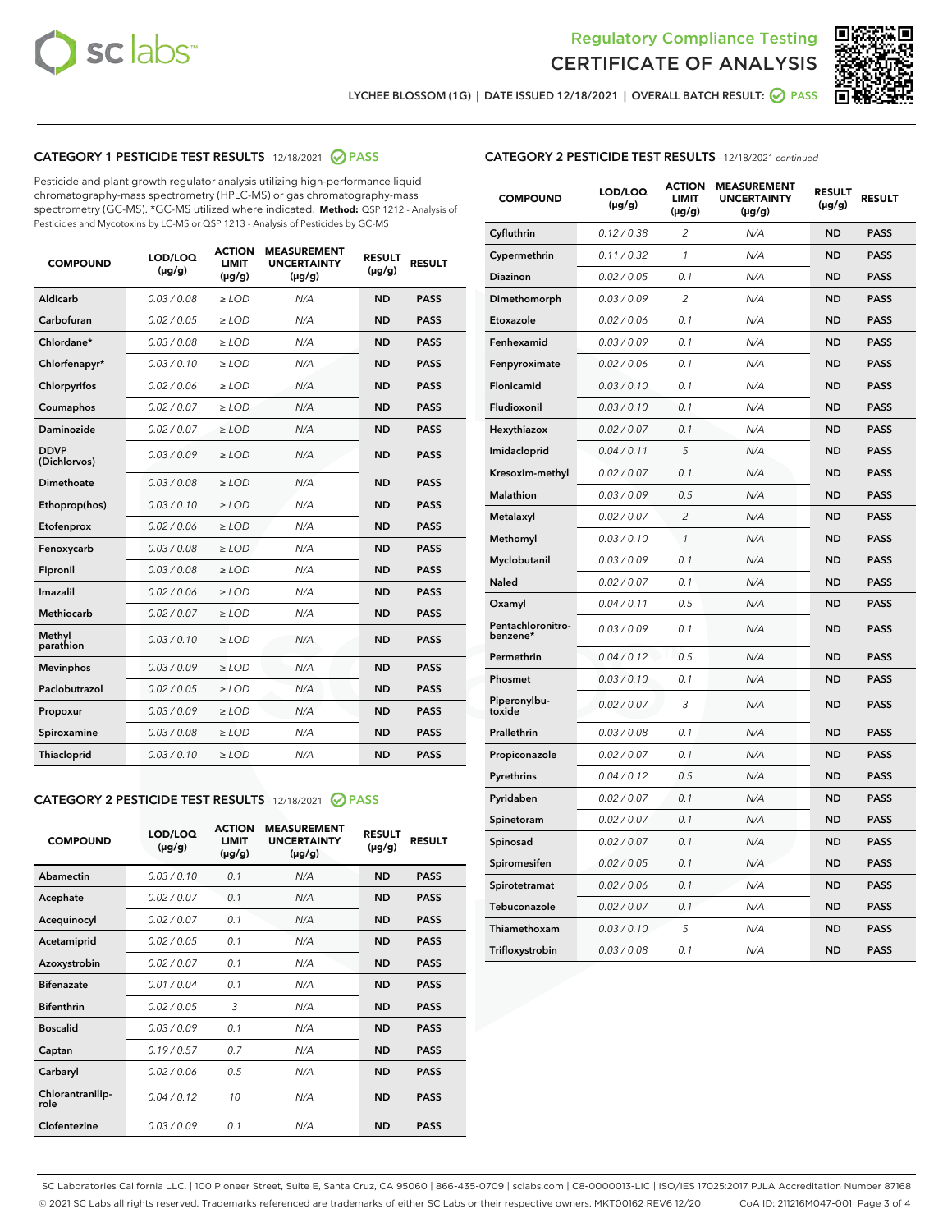



LYCHEE BLOSSOM (1G) | DATE ISSUED 12/18/2021 | OVERALL BATCH RESULT: @ PASS

#### CATEGORY 1 PESTICIDE TEST RESULTS - 12/18/2021 @ PASS

Pesticide and plant growth regulator analysis utilizing high-performance liquid chromatography-mass spectrometry (HPLC-MS) or gas chromatography-mass spectrometry (GC-MS). \*GC-MS utilized where indicated. **Method:** QSP 1212 - Analysis of Pesticides and Mycotoxins by LC-MS or QSP 1213 - Analysis of Pesticides by GC-MS

| <b>Aldicarb</b><br>0.03 / 0.08<br><b>ND</b><br>$\ge$ LOD<br>N/A<br><b>PASS</b><br>Carbofuran<br>0.02/0.05<br>$\ge$ LOD<br>N/A<br><b>ND</b><br><b>PASS</b><br>Chlordane*<br>0.03 / 0.08<br><b>ND</b><br>$>$ LOD<br>N/A<br><b>PASS</b><br>0.03/0.10<br><b>ND</b><br><b>PASS</b><br>Chlorfenapyr*<br>$\ge$ LOD<br>N/A<br>0.02 / 0.06<br>N/A<br><b>ND</b><br><b>PASS</b><br>Chlorpyrifos<br>$\ge$ LOD<br>0.02 / 0.07<br>N/A<br><b>ND</b><br><b>PASS</b><br>Coumaphos<br>$>$ LOD<br>Daminozide<br>0.02 / 0.07<br>$\ge$ LOD<br>N/A<br><b>ND</b><br><b>PASS</b><br><b>DDVP</b><br>0.03/0.09<br>$\ge$ LOD<br>N/A<br><b>ND</b><br><b>PASS</b><br>(Dichlorvos)<br>Dimethoate<br><b>ND</b><br><b>PASS</b><br>0.03/0.08<br>$>$ LOD<br>N/A<br>Ethoprop(hos)<br>0.03/0.10<br>$\ge$ LOD<br>N/A<br><b>ND</b><br><b>PASS</b><br>0.02/0.06<br>$\ge$ LOD<br>N/A<br><b>ND</b><br><b>PASS</b><br>Etofenprox<br>Fenoxycarb<br>0.03/0.08<br>$>$ LOD<br>N/A<br><b>ND</b><br><b>PASS</b><br>0.03/0.08<br><b>ND</b><br><b>PASS</b><br>Fipronil<br>$\ge$ LOD<br>N/A<br>Imazalil<br>0.02 / 0.06<br>$>$ LOD<br>N/A<br><b>ND</b><br><b>PASS</b><br>0.02 / 0.07<br>Methiocarb<br>N/A<br><b>ND</b><br>$>$ LOD<br><b>PASS</b><br>Methyl<br>0.03/0.10<br>$\ge$ LOD<br>N/A<br><b>ND</b><br><b>PASS</b><br>parathion<br>0.03/0.09<br>$\ge$ LOD<br>N/A<br><b>ND</b><br><b>PASS</b><br><b>Mevinphos</b><br>Paclobutrazol<br>0.02 / 0.05<br>$\ge$ LOD<br>N/A<br><b>ND</b><br><b>PASS</b><br>0.03/0.09<br>N/A<br>$\ge$ LOD<br><b>ND</b><br><b>PASS</b><br>Propoxur<br>0.03/0.08<br><b>ND</b><br><b>PASS</b><br>Spiroxamine<br>$\ge$ LOD<br>N/A<br><b>PASS</b><br>Thiacloprid<br>0.03/0.10<br>$\ge$ LOD<br>N/A<br><b>ND</b> | <b>COMPOUND</b> | LOD/LOQ<br>$(\mu g/g)$ | <b>ACTION</b><br>LIMIT<br>$(\mu g/g)$ | <b>MEASUREMENT</b><br><b>UNCERTAINTY</b><br>$(\mu g/g)$ | <b>RESULT</b><br>$(\mu g/g)$ | <b>RESULT</b> |
|------------------------------------------------------------------------------------------------------------------------------------------------------------------------------------------------------------------------------------------------------------------------------------------------------------------------------------------------------------------------------------------------------------------------------------------------------------------------------------------------------------------------------------------------------------------------------------------------------------------------------------------------------------------------------------------------------------------------------------------------------------------------------------------------------------------------------------------------------------------------------------------------------------------------------------------------------------------------------------------------------------------------------------------------------------------------------------------------------------------------------------------------------------------------------------------------------------------------------------------------------------------------------------------------------------------------------------------------------------------------------------------------------------------------------------------------------------------------------------------------------------------------------------------------------------------------------------------------------------------------------------------------------------------------------------|-----------------|------------------------|---------------------------------------|---------------------------------------------------------|------------------------------|---------------|
|                                                                                                                                                                                                                                                                                                                                                                                                                                                                                                                                                                                                                                                                                                                                                                                                                                                                                                                                                                                                                                                                                                                                                                                                                                                                                                                                                                                                                                                                                                                                                                                                                                                                                    |                 |                        |                                       |                                                         |                              |               |
|                                                                                                                                                                                                                                                                                                                                                                                                                                                                                                                                                                                                                                                                                                                                                                                                                                                                                                                                                                                                                                                                                                                                                                                                                                                                                                                                                                                                                                                                                                                                                                                                                                                                                    |                 |                        |                                       |                                                         |                              |               |
|                                                                                                                                                                                                                                                                                                                                                                                                                                                                                                                                                                                                                                                                                                                                                                                                                                                                                                                                                                                                                                                                                                                                                                                                                                                                                                                                                                                                                                                                                                                                                                                                                                                                                    |                 |                        |                                       |                                                         |                              |               |
|                                                                                                                                                                                                                                                                                                                                                                                                                                                                                                                                                                                                                                                                                                                                                                                                                                                                                                                                                                                                                                                                                                                                                                                                                                                                                                                                                                                                                                                                                                                                                                                                                                                                                    |                 |                        |                                       |                                                         |                              |               |
|                                                                                                                                                                                                                                                                                                                                                                                                                                                                                                                                                                                                                                                                                                                                                                                                                                                                                                                                                                                                                                                                                                                                                                                                                                                                                                                                                                                                                                                                                                                                                                                                                                                                                    |                 |                        |                                       |                                                         |                              |               |
|                                                                                                                                                                                                                                                                                                                                                                                                                                                                                                                                                                                                                                                                                                                                                                                                                                                                                                                                                                                                                                                                                                                                                                                                                                                                                                                                                                                                                                                                                                                                                                                                                                                                                    |                 |                        |                                       |                                                         |                              |               |
|                                                                                                                                                                                                                                                                                                                                                                                                                                                                                                                                                                                                                                                                                                                                                                                                                                                                                                                                                                                                                                                                                                                                                                                                                                                                                                                                                                                                                                                                                                                                                                                                                                                                                    |                 |                        |                                       |                                                         |                              |               |
|                                                                                                                                                                                                                                                                                                                                                                                                                                                                                                                                                                                                                                                                                                                                                                                                                                                                                                                                                                                                                                                                                                                                                                                                                                                                                                                                                                                                                                                                                                                                                                                                                                                                                    |                 |                        |                                       |                                                         |                              |               |
|                                                                                                                                                                                                                                                                                                                                                                                                                                                                                                                                                                                                                                                                                                                                                                                                                                                                                                                                                                                                                                                                                                                                                                                                                                                                                                                                                                                                                                                                                                                                                                                                                                                                                    |                 |                        |                                       |                                                         |                              |               |
|                                                                                                                                                                                                                                                                                                                                                                                                                                                                                                                                                                                                                                                                                                                                                                                                                                                                                                                                                                                                                                                                                                                                                                                                                                                                                                                                                                                                                                                                                                                                                                                                                                                                                    |                 |                        |                                       |                                                         |                              |               |
|                                                                                                                                                                                                                                                                                                                                                                                                                                                                                                                                                                                                                                                                                                                                                                                                                                                                                                                                                                                                                                                                                                                                                                                                                                                                                                                                                                                                                                                                                                                                                                                                                                                                                    |                 |                        |                                       |                                                         |                              |               |
|                                                                                                                                                                                                                                                                                                                                                                                                                                                                                                                                                                                                                                                                                                                                                                                                                                                                                                                                                                                                                                                                                                                                                                                                                                                                                                                                                                                                                                                                                                                                                                                                                                                                                    |                 |                        |                                       |                                                         |                              |               |
|                                                                                                                                                                                                                                                                                                                                                                                                                                                                                                                                                                                                                                                                                                                                                                                                                                                                                                                                                                                                                                                                                                                                                                                                                                                                                                                                                                                                                                                                                                                                                                                                                                                                                    |                 |                        |                                       |                                                         |                              |               |
|                                                                                                                                                                                                                                                                                                                                                                                                                                                                                                                                                                                                                                                                                                                                                                                                                                                                                                                                                                                                                                                                                                                                                                                                                                                                                                                                                                                                                                                                                                                                                                                                                                                                                    |                 |                        |                                       |                                                         |                              |               |
|                                                                                                                                                                                                                                                                                                                                                                                                                                                                                                                                                                                                                                                                                                                                                                                                                                                                                                                                                                                                                                                                                                                                                                                                                                                                                                                                                                                                                                                                                                                                                                                                                                                                                    |                 |                        |                                       |                                                         |                              |               |
|                                                                                                                                                                                                                                                                                                                                                                                                                                                                                                                                                                                                                                                                                                                                                                                                                                                                                                                                                                                                                                                                                                                                                                                                                                                                                                                                                                                                                                                                                                                                                                                                                                                                                    |                 |                        |                                       |                                                         |                              |               |
|                                                                                                                                                                                                                                                                                                                                                                                                                                                                                                                                                                                                                                                                                                                                                                                                                                                                                                                                                                                                                                                                                                                                                                                                                                                                                                                                                                                                                                                                                                                                                                                                                                                                                    |                 |                        |                                       |                                                         |                              |               |
|                                                                                                                                                                                                                                                                                                                                                                                                                                                                                                                                                                                                                                                                                                                                                                                                                                                                                                                                                                                                                                                                                                                                                                                                                                                                                                                                                                                                                                                                                                                                                                                                                                                                                    |                 |                        |                                       |                                                         |                              |               |
|                                                                                                                                                                                                                                                                                                                                                                                                                                                                                                                                                                                                                                                                                                                                                                                                                                                                                                                                                                                                                                                                                                                                                                                                                                                                                                                                                                                                                                                                                                                                                                                                                                                                                    |                 |                        |                                       |                                                         |                              |               |
|                                                                                                                                                                                                                                                                                                                                                                                                                                                                                                                                                                                                                                                                                                                                                                                                                                                                                                                                                                                                                                                                                                                                                                                                                                                                                                                                                                                                                                                                                                                                                                                                                                                                                    |                 |                        |                                       |                                                         |                              |               |
|                                                                                                                                                                                                                                                                                                                                                                                                                                                                                                                                                                                                                                                                                                                                                                                                                                                                                                                                                                                                                                                                                                                                                                                                                                                                                                                                                                                                                                                                                                                                                                                                                                                                                    |                 |                        |                                       |                                                         |                              |               |

#### CATEGORY 2 PESTICIDE TEST RESULTS - 12/18/2021 @ PASS

| <b>COMPOUND</b>          | LOD/LOO<br>$(\mu g/g)$ | <b>ACTION</b><br>LIMIT<br>$(\mu g/g)$ | <b>MEASUREMENT</b><br><b>UNCERTAINTY</b><br>$(\mu g/g)$ | <b>RESULT</b><br>$(\mu g/g)$ | <b>RESULT</b> |  |
|--------------------------|------------------------|---------------------------------------|---------------------------------------------------------|------------------------------|---------------|--|
| Abamectin                | 0.03/0.10              | 0.1                                   | N/A                                                     | <b>ND</b>                    | <b>PASS</b>   |  |
| Acephate                 | 0.02/0.07              | 0.1                                   | N/A                                                     | <b>ND</b>                    | <b>PASS</b>   |  |
| Acequinocyl              | 0.02/0.07              | 0.1                                   | N/A                                                     | <b>ND</b>                    | <b>PASS</b>   |  |
| Acetamiprid              | 0.02 / 0.05            | 0.1                                   | N/A                                                     | <b>ND</b>                    | <b>PASS</b>   |  |
| Azoxystrobin             | 0.02/0.07              | 0.1                                   | N/A                                                     | <b>ND</b>                    | <b>PASS</b>   |  |
| <b>Bifenazate</b>        | 0.01 / 0.04            | 0.1                                   | N/A                                                     | <b>ND</b>                    | <b>PASS</b>   |  |
| <b>Bifenthrin</b>        | 0.02 / 0.05            | 3                                     | N/A                                                     | <b>ND</b>                    | <b>PASS</b>   |  |
| <b>Boscalid</b>          | 0.03/0.09              | 0.1                                   | N/A                                                     | <b>ND</b>                    | <b>PASS</b>   |  |
| Captan                   | 0.19/0.57              | 0.7                                   | N/A                                                     | <b>ND</b>                    | <b>PASS</b>   |  |
| Carbaryl                 | 0.02/0.06              | 0.5                                   | N/A                                                     | <b>ND</b>                    | <b>PASS</b>   |  |
| Chlorantranilip-<br>role | 0.04/0.12              | 10                                    | N/A                                                     | <b>ND</b>                    | <b>PASS</b>   |  |
| Clofentezine             | 0.03/0.09              | 0.1                                   | N/A                                                     | <b>ND</b>                    | <b>PASS</b>   |  |

### CATEGORY 2 PESTICIDE TEST RESULTS - 12/18/2021 continued

| <b>COMPOUND</b>               | LOD/LOQ<br>(µg/g) | <b>ACTION</b><br><b>LIMIT</b><br>$(\mu g/g)$ | <b>MEASUREMENT</b><br><b>UNCERTAINTY</b><br>$(\mu g/g)$ | <b>RESULT</b><br>(µg/g) | <b>RESULT</b> |
|-------------------------------|-------------------|----------------------------------------------|---------------------------------------------------------|-------------------------|---------------|
| Cyfluthrin                    | 0.12 / 0.38       | $\overline{c}$                               | N/A                                                     | ND                      | <b>PASS</b>   |
| Cypermethrin                  | 0.11 / 0.32       | $\mathcal{I}$                                | N/A                                                     | ND                      | <b>PASS</b>   |
| Diazinon                      | 0.02 / 0.05       | 0.1                                          | N/A                                                     | <b>ND</b>               | <b>PASS</b>   |
| Dimethomorph                  | 0.03 / 0.09       | 2                                            | N/A                                                     | ND                      | <b>PASS</b>   |
| Etoxazole                     | 0.02 / 0.06       | 0.1                                          | N/A                                                     | ND                      | <b>PASS</b>   |
| Fenhexamid                    | 0.03 / 0.09       | 0.1                                          | N/A                                                     | <b>ND</b>               | <b>PASS</b>   |
| Fenpyroximate                 | 0.02 / 0.06       | 0.1                                          | N/A                                                     | ND                      | <b>PASS</b>   |
| Flonicamid                    | 0.03 / 0.10       | 0.1                                          | N/A                                                     | ND                      | <b>PASS</b>   |
| Fludioxonil                   | 0.03 / 0.10       | 0.1                                          | N/A                                                     | ND                      | <b>PASS</b>   |
| Hexythiazox                   | 0.02 / 0.07       | 0.1                                          | N/A                                                     | ND                      | <b>PASS</b>   |
| Imidacloprid                  | 0.04 / 0.11       | 5                                            | N/A                                                     | ND                      | <b>PASS</b>   |
| Kresoxim-methyl               | 0.02 / 0.07       | 0.1                                          | N/A                                                     | ND                      | <b>PASS</b>   |
| <b>Malathion</b>              | 0.03 / 0.09       | 0.5                                          | N/A                                                     | ND                      | <b>PASS</b>   |
| Metalaxyl                     | 0.02 / 0.07       | $\overline{c}$                               | N/A                                                     | ND                      | <b>PASS</b>   |
| Methomyl                      | 0.03 / 0.10       | 1                                            | N/A                                                     | <b>ND</b>               | <b>PASS</b>   |
| Myclobutanil                  | 0.03 / 0.09       | 0.1                                          | N/A                                                     | ND                      | <b>PASS</b>   |
| Naled                         | 0.02 / 0.07       | 0.1                                          | N/A                                                     | ND                      | <b>PASS</b>   |
| Oxamyl                        | 0.04 / 0.11       | 0.5                                          | N/A                                                     | ND                      | <b>PASS</b>   |
| Pentachloronitro-<br>benzene* | 0.03 / 0.09       | 0.1                                          | N/A                                                     | ND                      | <b>PASS</b>   |
| Permethrin                    | 0.04 / 0.12       | 0.5                                          | N/A                                                     | ND                      | <b>PASS</b>   |
| Phosmet                       | 0.03 / 0.10       | 0.1                                          | N/A                                                     | ND                      | <b>PASS</b>   |
| Piperonylbu-<br>toxide        | 0.02 / 0.07       | 3                                            | N/A                                                     | ND                      | <b>PASS</b>   |
| Prallethrin                   | 0.03 / 0.08       | 0.1                                          | N/A                                                     | ND                      | <b>PASS</b>   |
| Propiconazole                 | 0.02 / 0.07       | 0.1                                          | N/A                                                     | ND                      | <b>PASS</b>   |
| Pyrethrins                    | 0.04 / 0.12       | 0.5                                          | N/A                                                     | ND                      | <b>PASS</b>   |
| Pyridaben                     | 0.02 / 0.07       | 0.1                                          | N/A                                                     | ND                      | <b>PASS</b>   |
| Spinetoram                    | 0.02 / 0.07       | 0.1                                          | N/A                                                     | ND                      | <b>PASS</b>   |
| Spinosad                      | 0.02 / 0.07       | 0.1                                          | N/A                                                     | ND                      | <b>PASS</b>   |
| Spiromesifen                  | 0.02 / 0.05       | 0.1                                          | N/A                                                     | <b>ND</b>               | <b>PASS</b>   |
| Spirotetramat                 | 0.02 / 0.06       | 0.1                                          | N/A                                                     | ND                      | <b>PASS</b>   |
| Tebuconazole                  | 0.02 / 0.07       | 0.1                                          | N/A                                                     | ND                      | <b>PASS</b>   |
| Thiamethoxam                  | 0.03 / 0.10       | 5                                            | N/A                                                     | ND                      | <b>PASS</b>   |
| Trifloxystrobin               | 0.03 / 0.08       | 0.1                                          | N/A                                                     | <b>ND</b>               | <b>PASS</b>   |

SC Laboratories California LLC. | 100 Pioneer Street, Suite E, Santa Cruz, CA 95060 | 866-435-0709 | sclabs.com | C8-0000013-LIC | ISO/IES 17025:2017 PJLA Accreditation Number 87168 © 2021 SC Labs all rights reserved. Trademarks referenced are trademarks of either SC Labs or their respective owners. MKT00162 REV6 12/20 CoA ID: 211216M047-001 Page 3 of 4